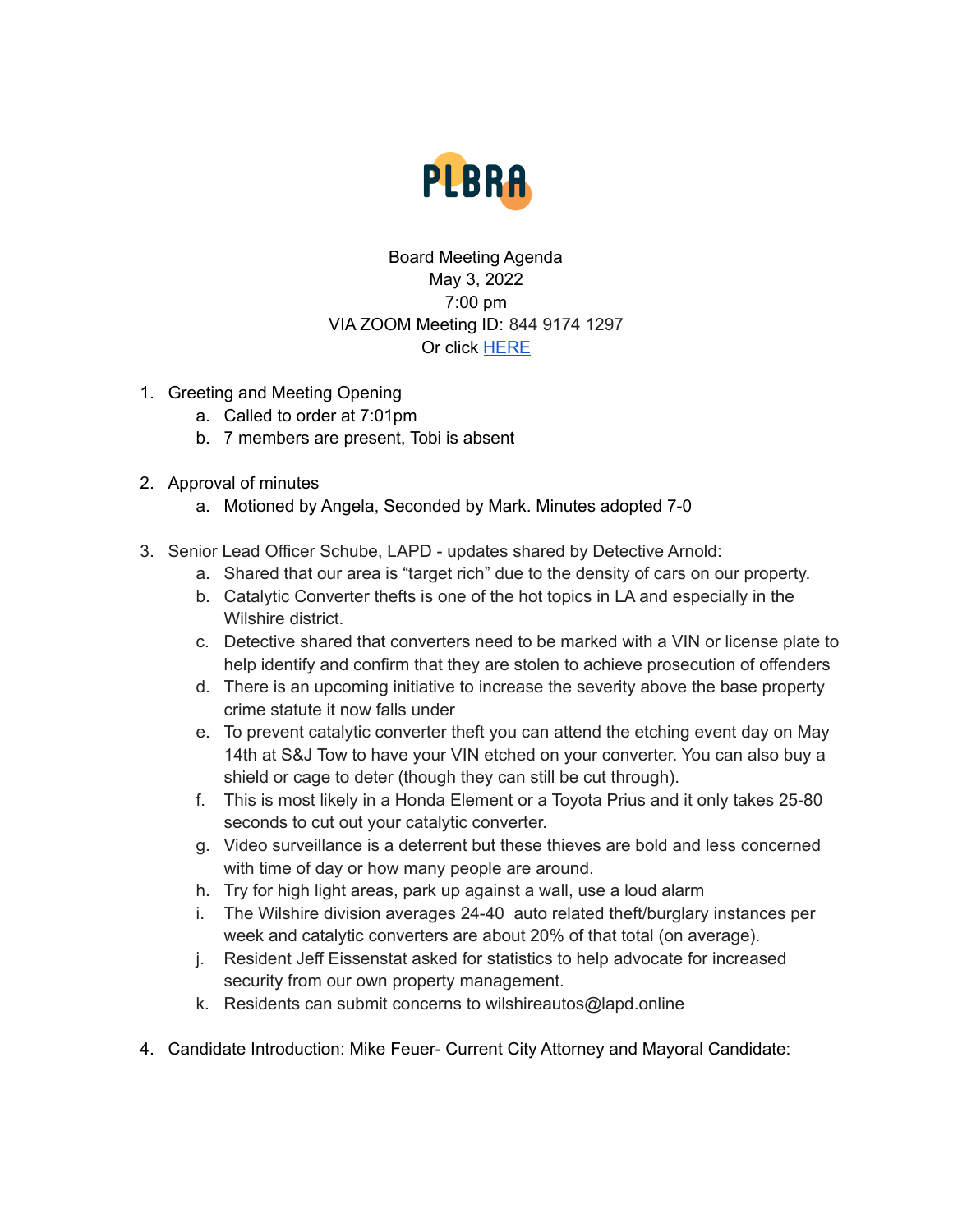

## Board Meeting Agenda May 3, 2022 7:00 pm VIA ZOOM Meeting ID: 844 9174 1297 Or click [HERE](https://us02web.zoom.us/j/84491741297)

- 1. Greeting and Meeting Opening
	- a. Called to order at 7:01pm
	- b. 7 members are present, Tobi is absent
- 2. Approval of minutes
	- a. Motioned by Angela, Seconded by Mark. Minutes adopted 7-0
- 3. Senior Lead Officer Schube, LAPD updates shared by Detective Arnold:
	- a. Shared that our area is "target rich" due to the density of cars on our property.
	- b. Catalytic Converter thefts is one of the hot topics in LA and especially in the Wilshire district.
	- c. Detective shared that converters need to be marked with a VIN or license plate to help identify and confirm that they are stolen to achieve prosecution of offenders
	- d. There is an upcoming initiative to increase the severity above the base property crime statute it now falls under
	- e. To prevent catalytic converter theft you can attend the etching event day on May 14th at S&J Tow to have your VIN etched on your converter. You can also buy a shield or cage to deter (though they can still be cut through).
	- f. This is most likely in a Honda Element or a Toyota Prius and it only takes 25-80 seconds to cut out your catalytic converter.
	- g. Video surveillance is a deterrent but these thieves are bold and less concerned with time of day or how many people are around.
	- h. Try for high light areas, park up against a wall, use a loud alarm
	- i. The Wilshire division averages 24-40 auto related theft/burglary instances per week and catalytic converters are about 20% of that total (on average).
	- j. Resident Jeff Eissenstat asked for statistics to help advocate for increased security from our own property management.
	- k. Residents can submit concerns to wilshireautos@lapd.online
- 4. Candidate Introduction: Mike Feuer- Current City Attorney and Mayoral Candidate: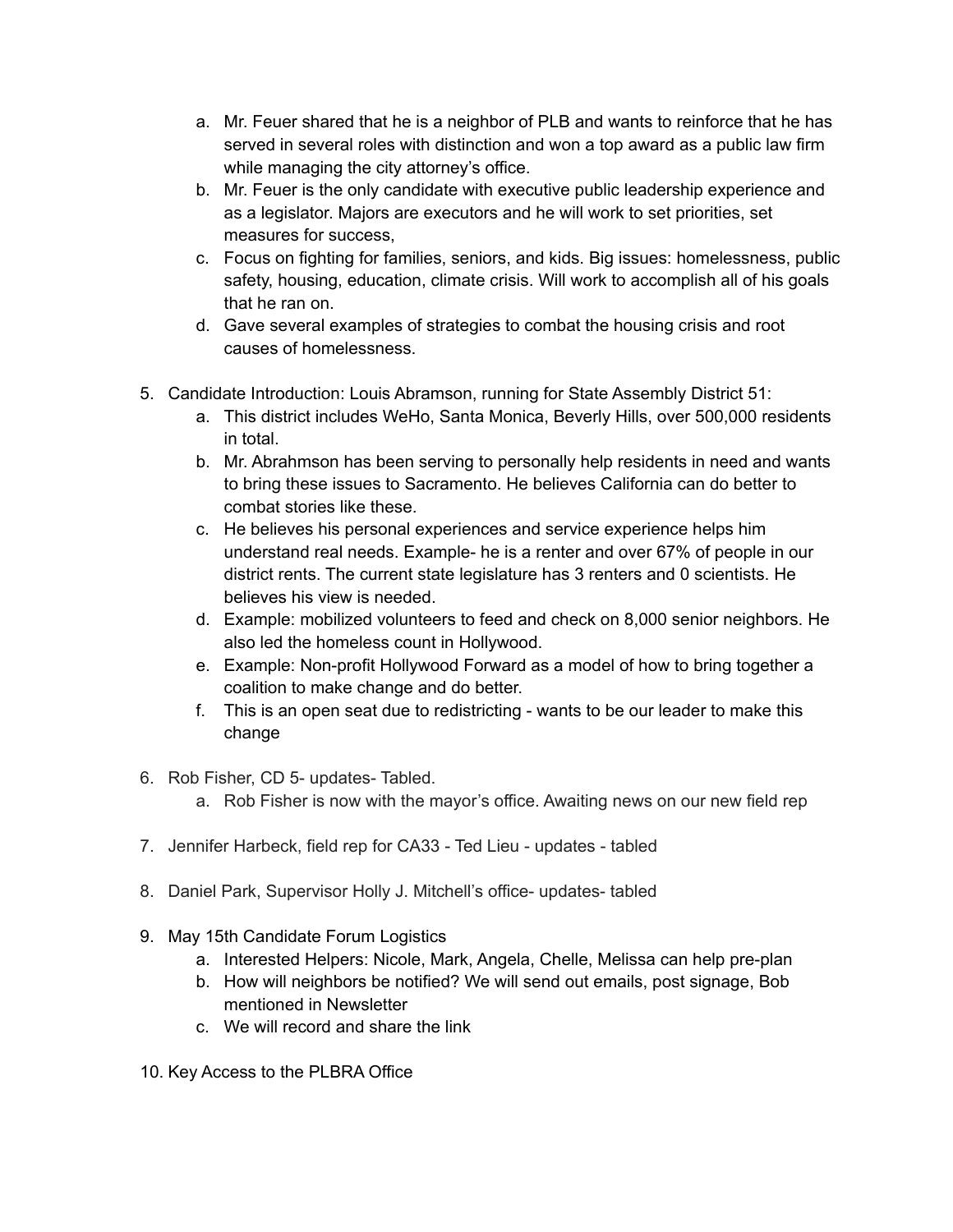- a. Mr. Feuer shared that he is a neighbor of PLB and wants to reinforce that he has served in several roles with distinction and won a top award as a public law firm while managing the city attorney's office.
- b. Mr. Feuer is the only candidate with executive public leadership experience and as a legislator. Majors are executors and he will work to set priorities, set measures for success,
- c. Focus on fighting for families, seniors, and kids. Big issues: homelessness, public safety, housing, education, climate crisis. Will work to accomplish all of his goals that he ran on.
- d. Gave several examples of strategies to combat the housing crisis and root causes of homelessness.
- 5. Candidate Introduction: Louis Abramson, running for State Assembly District 51:
	- a. This district includes WeHo, Santa Monica, Beverly Hills, over 500,000 residents in total.
	- b. Mr. Abrahmson has been serving to personally help residents in need and wants to bring these issues to Sacramento. He believes California can do better to combat stories like these.
	- c. He believes his personal experiences and service experience helps him understand real needs. Example- he is a renter and over 67% of people in our district rents. The current state legislature has 3 renters and 0 scientists. He believes his view is needed.
	- d. Example: mobilized volunteers to feed and check on 8,000 senior neighbors. He also led the homeless count in Hollywood.
	- e. Example: Non-profit Hollywood Forward as a model of how to bring together a coalition to make change and do better.
	- f. This is an open seat due to redistricting wants to be our leader to make this change
- 6. Rob Fisher, CD 5- updates- Tabled.
	- a. Rob Fisher is now with the mayor's office. Awaiting news on our new field rep
- 7. Jennifer Harbeck, field rep for CA33 Ted Lieu updates tabled
- 8. Daniel Park, Supervisor Holly J. Mitchell's office- updates- tabled
- 9. May 15th Candidate Forum Logistics
	- a. Interested Helpers: Nicole, Mark, Angela, Chelle, Melissa can help pre-plan
	- b. How will neighbors be notified? We will send out emails, post signage, Bob mentioned in Newsletter
	- c. We will record and share the link
- 10. Key Access to the PLBRA Office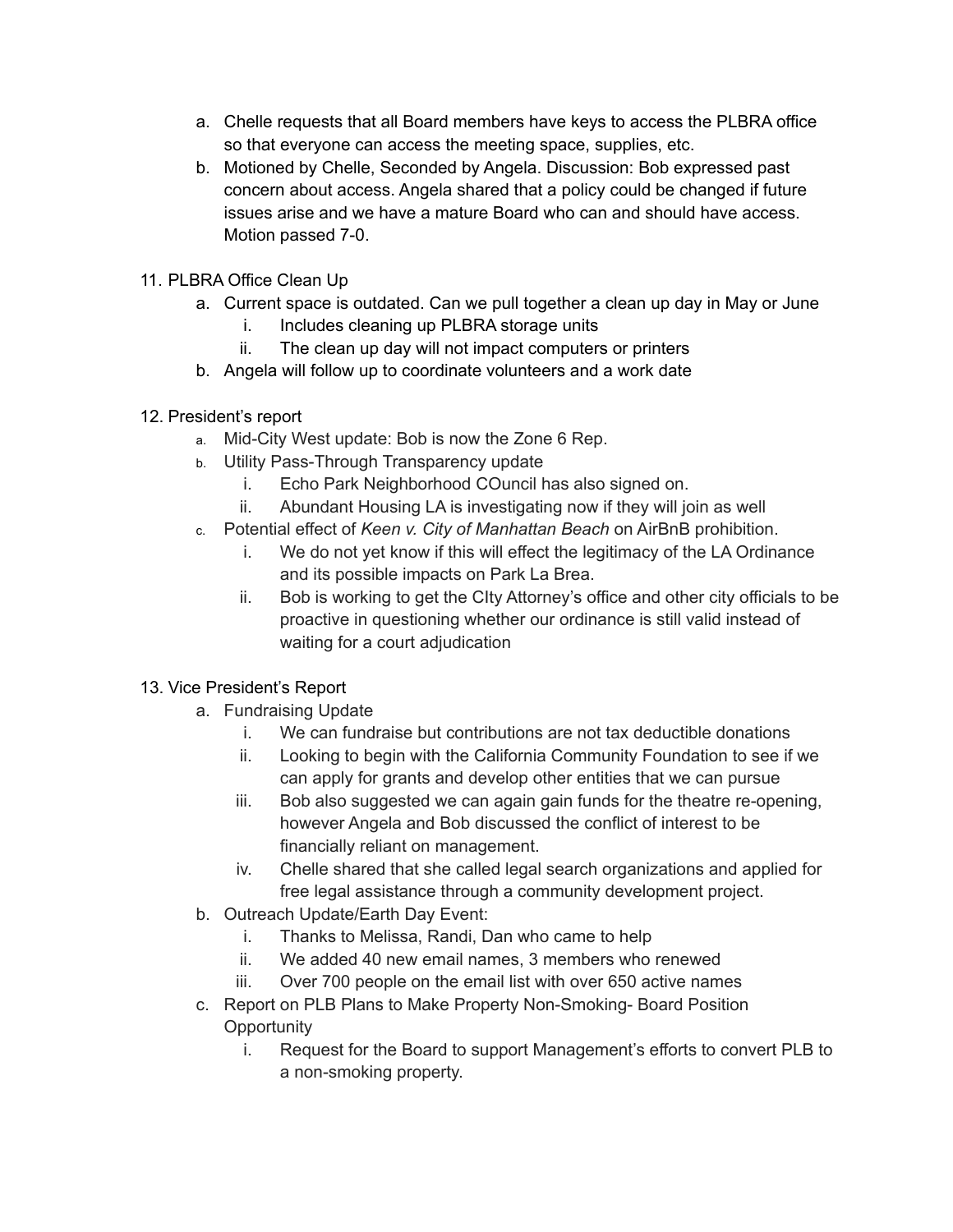- a. Chelle requests that all Board members have keys to access the PLBRA office so that everyone can access the meeting space, supplies, etc.
- b. Motioned by Chelle, Seconded by Angela. Discussion: Bob expressed past concern about access. Angela shared that a policy could be changed if future issues arise and we have a mature Board who can and should have access. Motion passed 7-0.
- 11. PLBRA Office Clean Up
	- a. Current space is outdated. Can we pull together a clean up day in May or June
		- i. Includes cleaning up PLBRA storage units
		- ii. The clean up day will not impact computers or printers
	- b. Angela will follow up to coordinate volunteers and a work date
- 12. President's report
	- a. Mid-City West update: Bob is now the Zone 6 Rep.
	- b. Utility Pass-Through Transparency update
		- i. Echo Park Neighborhood COuncil has also signed on.
		- ii. Abundant Housing LA is investigating now if they will join as well
	- c. Potential effect of *Keen v. City of Manhattan Beach* on AirBnB prohibition.
		- i. We do not yet know if this will effect the legitimacy of the LA Ordinance and its possible impacts on Park La Brea.
		- ii. Bob is working to get the CIty Attorney's office and other city officials to be proactive in questioning whether our ordinance is still valid instead of waiting for a court adjudication

## 13. Vice President's Report

- a. Fundraising Update
	- i. We can fundraise but contributions are not tax deductible donations
	- ii. Looking to begin with the California Community Foundation to see if we can apply for grants and develop other entities that we can pursue
	- iii. Bob also suggested we can again gain funds for the theatre re-opening, however Angela and Bob discussed the conflict of interest to be financially reliant on management.
	- iv. Chelle shared that she called legal search organizations and applied for free legal assistance through a community development project.
- b. Outreach Update/Earth Day Event:
	- i. Thanks to Melissa, Randi, Dan who came to help
	- ii. We added 40 new email names, 3 members who renewed
	- iii. Over 700 people on the email list with over 650 active names
- c. Report on PLB Plans to Make Property Non-Smoking- Board Position **Opportunity** 
	- i. Request for the Board to support Management's efforts to convert PLB to a non-smoking property.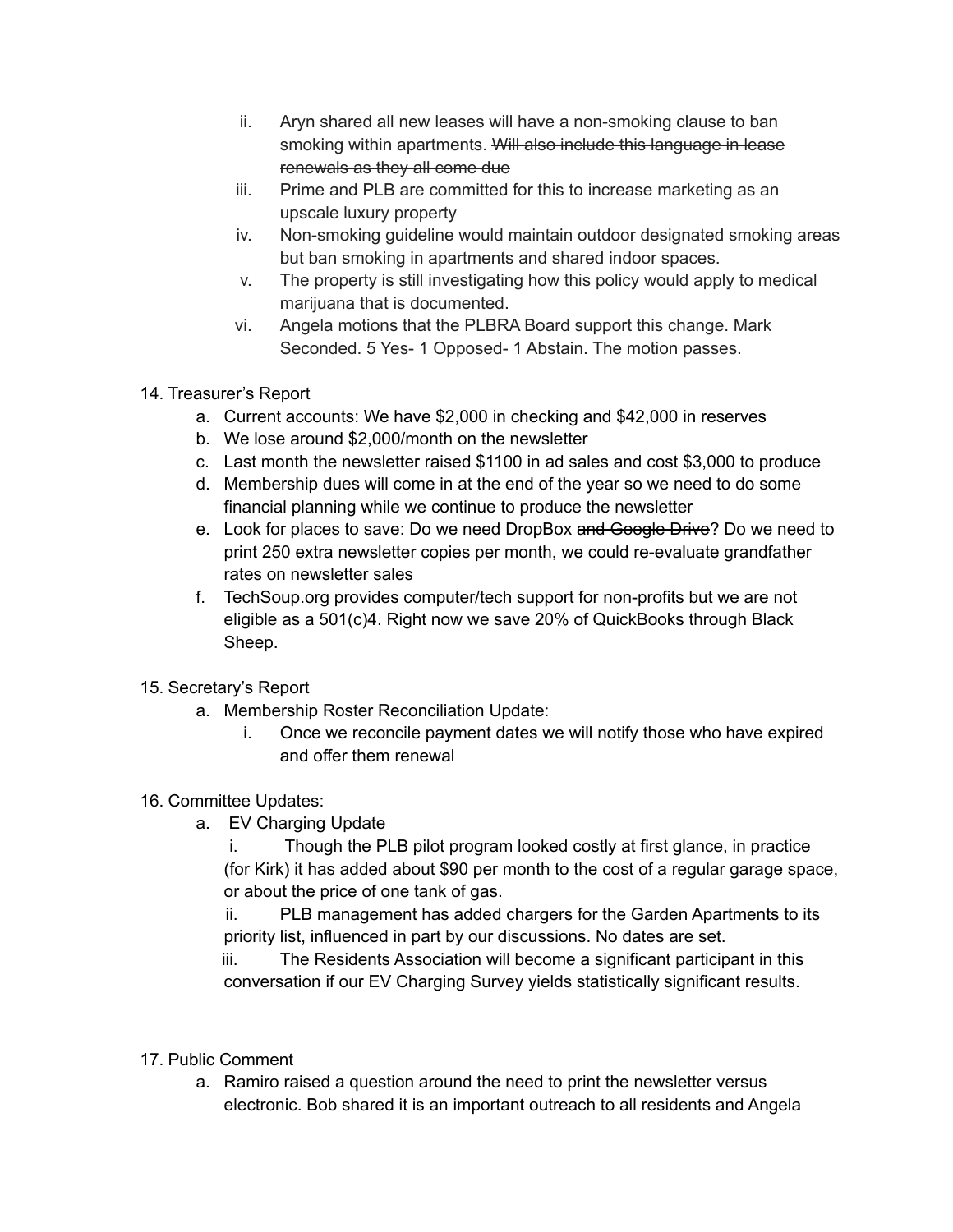- ii. Aryn shared all new leases will have a non-smoking clause to ban smoking within apartments. Will also include this language in lease renewals as they all come due
- iii. Prime and PLB are committed for this to increase marketing as an upscale luxury property
- iv. Non-smoking guideline would maintain outdoor designated smoking areas but ban smoking in apartments and shared indoor spaces.
- v. The property is still investigating how this policy would apply to medical marijuana that is documented.
- vi. Angela motions that the PLBRA Board support this change. Mark Seconded. 5 Yes- 1 Opposed- 1 Abstain. The motion passes.
- 14. Treasurer's Report
	- a. Current accounts: We have \$2,000 in checking and \$42,000 in reserves
	- b. We lose around \$2,000/month on the newsletter
	- c. Last month the newsletter raised \$1100 in ad sales and cost \$3,000 to produce
	- d. Membership dues will come in at the end of the year so we need to do some financial planning while we continue to produce the newsletter
	- e. Look for places to save: Do we need DropBox and Google Drive? Do we need to print 250 extra newsletter copies per month, we could re-evaluate grandfather rates on newsletter sales
	- f. TechSoup.org provides computer/tech support for non-profits but we are not eligible as a 501(c)4. Right now we save 20% of QuickBooks through Black Sheep.
- 15. Secretary's Report
	- a. Membership Roster Reconciliation Update:
		- i. Once we reconcile payment dates we will notify those who have expired and offer them renewal

## 16. Committee Updates:

a. EV Charging Update

i. Though the PLB pilot program looked costly at first glance, in practice (for Kirk) it has added about \$90 per month to the cost of a regular garage space, or about the price of one tank of gas.

ii. PLB management has added chargers for the Garden Apartments to its priority list, influenced in part by our discussions. No dates are set.

iii. The Residents Association will become a significant participant in this conversation if our EV Charging Survey yields statistically significant results.

- 17. Public Comment
	- a. Ramiro raised a question around the need to print the newsletter versus electronic. Bob shared it is an important outreach to all residents and Angela